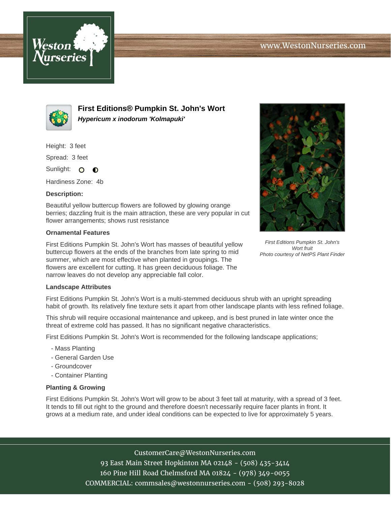



**First Editions® Pumpkin St. John's Wort Hypericum x inodorum 'Kolmapuki'**

Height: 3 feet

Spread: 3 feet

Sunlight: O  $\bullet$ 

Hardiness Zone: 4b

## **Description:**

Beautiful yellow buttercup flowers are followed by glowing orange berries; dazzling fruit is the main attraction, these are very popular in cut flower arrangements; shows rust resistance

## **Ornamental Features**

First Editions Pumpkin St. John's Wort has masses of beautiful yellow buttercup flowers at the ends of the branches from late spring to mid summer, which are most effective when planted in groupings. The flowers are excellent for cutting. It has green deciduous foliage. The narrow leaves do not develop any appreciable fall color.



First Editions Pumpkin St. John's Wort fruit Photo courtesy of NetPS Plant Finder

## **Landscape Attributes**

First Editions Pumpkin St. John's Wort is a multi-stemmed deciduous shrub with an upright spreading habit of growth. Its relatively fine texture sets it apart from other landscape plants with less refined foliage.

This shrub will require occasional maintenance and upkeep, and is best pruned in late winter once the threat of extreme cold has passed. It has no significant negative characteristics.

First Editions Pumpkin St. John's Wort is recommended for the following landscape applications;

- Mass Planting
- General Garden Use
- Groundcover
- Container Planting

## **Planting & Growing**

First Editions Pumpkin St. John's Wort will grow to be about 3 feet tall at maturity, with a spread of 3 feet. It tends to fill out right to the ground and therefore doesn't necessarily require facer plants in front. It grows at a medium rate, and under ideal conditions can be expected to live for approximately 5 years.

> CustomerCare@WestonNurseries.com 93 East Main Street Hopkinton MA 02148 - (508) 435-3414 160 Pine Hill Road Chelmsford MA 01824 - (978) 349-0055 COMMERCIAL: commsales@westonnurseries.com - (508) 293-8028